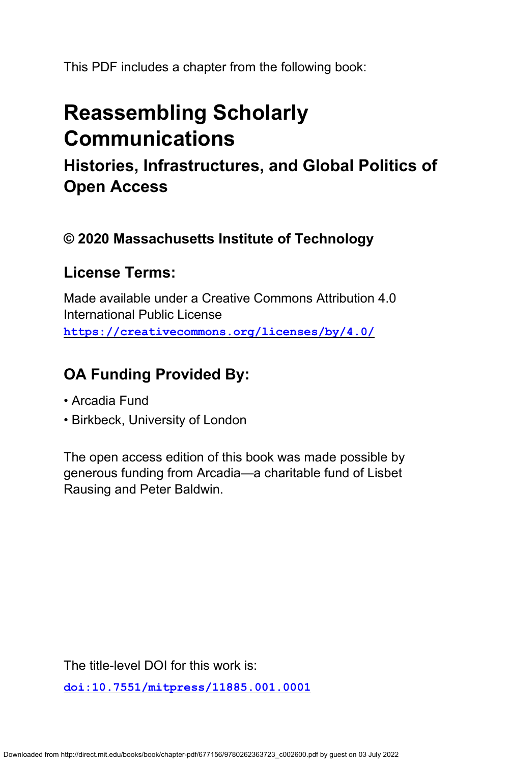This PDF includes a chapter from the following book:

# **Reassembling Scholarly Communications**

**Histories, Infrastructures, and Global Politics of Open Access**

## **© 2020 Massachusetts Institute of Technology**

## **License Terms:**

Made available under a Creative Commons Attribution 4.0 International Public License **<https://creativecommons.org/licenses/by/4.0/>**

## **OA Funding Provided By:**

- Arcadia Fund
- Birkbeck, University of London

The open access edition of this book was made possible by generous funding from Arcadia—a charitable fund of Lisbet Rausing and Peter Baldwin.

The title-level DOI for this work is:

**[doi:10.7551/mitpress/11885.001.0001](https://doi.org/10.7551/mitpress/11885.001.0001)**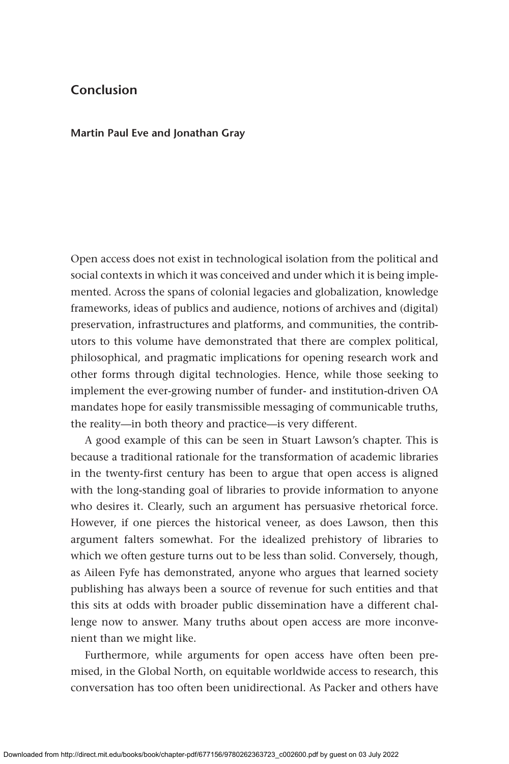### **Conclusion**

#### **Martin Paul Eve and Jonathan Gray**

Open access does not exist in technological isolation from the political and social contexts in which it was conceived and under which it is being implemented. Across the spans of colonial legacies and globalization, knowledge frameworks, ideas of publics and audience, notions of archives and (digital) preservation, infrastructures and platforms, and communities, the contributors to this volume have demonstrated that there are complex political, philosophical, and pragmatic implications for opening research work and other forms through digital technologies. Hence, while those seeking to implement the ever-growing number of funder- and institution-driven OA mandates hope for easily transmissible messaging of communicable truths, the reality—in both theory and practice—is very different.

A good example of this can be seen in Stuart Lawson's chapter. This is because a traditional rationale for the transformation of academic libraries in the twenty-first century has been to argue that open access is aligned with the long-standing goal of libraries to provide information to anyone who desires it. Clearly, such an argument has persuasive rhetorical force. However, if one pierces the historical veneer, as does Lawson, then this argument falters somewhat. For the idealized prehistory of libraries to which we often gesture turns out to be less than solid. Conversely, though, as Aileen Fyfe has demonstrated, anyone who argues that learned society publishing has always been a source of revenue for such entities and that this sits at odds with broader public dissemination have a different challenge now to answer. Many truths about open access are more inconvenient than we might like.

Furthermore, while arguments for open access have often been premised, in the Global North, on equitable worldwide access to research, this conversation has too often been unidirectional. As Packer and others have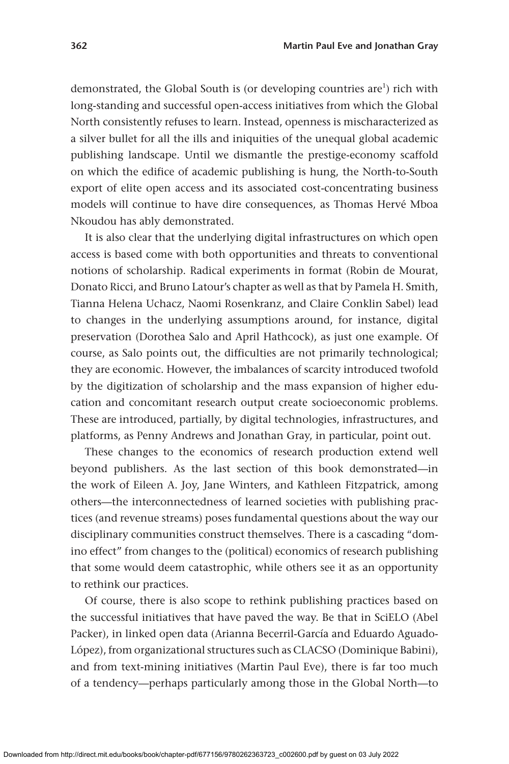demonstrated, the Global South is (or developing countries are<sup>1</sup>) rich with long-standing and successful open-access initiatives from which the Global North consistently refuses to learn. Instead, openness is mischaracterized as a silver bullet for all the ills and iniquities of the unequal global academic publishing landscape. Until we dismantle the prestige-economy scaffold on which the edifice of academic publishing is hung, the North-to-South export of elite open access and its associated cost-concentrating business models will continue to have dire consequences, as Thomas Hervé Mboa Nkoudou has ably demonstrated.

It is also clear that the underlying digital infrastructures on which open access is based come with both opportunities and threats to conventional notions of scholarship. Radical experiments in format (Robin de Mourat, Donato Ricci, and Bruno Latour's chapter as well as that by Pamela H. Smith, Tianna Helena Uchacz, Naomi Rosenkranz, and Claire Conklin Sabel) lead to changes in the underlying assumptions around, for instance, digital preservation (Dorothea Salo and April Hathcock), as just one example. Of course, as Salo points out, the difficulties are not primarily technological; they are economic. However, the imbalances of scarcity introduced twofold by the digitization of scholarship and the mass expansion of higher education and concomitant research output create socioeconomic problems. These are introduced, partially, by digital technologies, infrastructures, and platforms, as Penny Andrews and Jonathan Gray, in particular, point out.

These changes to the economics of research production extend well beyond publishers. As the last section of this book demonstrated—in the work of Eileen A. Joy, Jane Winters, and Kathleen Fitzpatrick, among others—the interconnectedness of learned societies with publishing practices (and revenue streams) poses fundamental questions about the way our disciplinary communities construct themselves. There is a cascading "domino effect" from changes to the (political) economics of research publishing that some would deem catastrophic, while others see it as an opportunity to rethink our practices.

Of course, there is also scope to rethink publishing practices based on the successful initiatives that have paved the way. Be that in SciELO (Abel Packer), in linked open data (Arianna Becerril-García and Eduardo Aguado-López), from organizational structures such as CLACSO (Dominique Babini), and from text-mining initiatives (Martin Paul Eve), there is far too much of a tendency—perhaps particularly among those in the Global North—to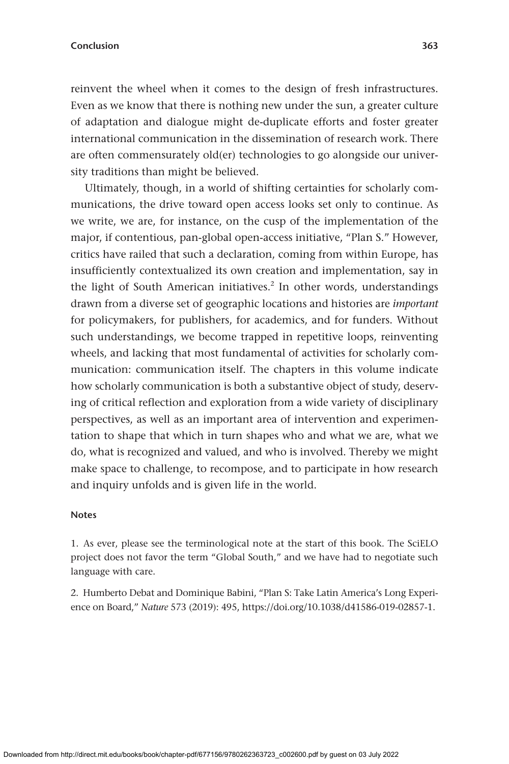### **Conclusion 363**

reinvent the wheel when it comes to the design of fresh infrastructures. Even as we know that there is nothing new under the sun, a greater culture of adaptation and dialogue might de-duplicate efforts and foster greater international communication in the dissemination of research work. There are often commensurately old(er) technologies to go alongside our university traditions than might be believed.

Ultimately, though, in a world of shifting certainties for scholarly communications, the drive toward open access looks set only to continue. As we write, we are, for instance, on the cusp of the implementation of the major, if contentious, pan-global open-access initiative, "Plan S." However, critics have railed that such a declaration, coming from within Europe, has insufficiently contextualized its own creation and implementation, say in the light of South American initiatives.<sup>2</sup> In other words, understandings drawn from a diverse set of geographic locations and histories are *important* for policymakers, for publishers, for academics, and for funders. Without such understandings, we become trapped in repetitive loops, reinventing wheels, and lacking that most fundamental of activities for scholarly communication: communication itself. The chapters in this volume indicate how scholarly communication is both a substantive object of study, deserving of critical reflection and exploration from a wide variety of disciplinary perspectives, as well as an important area of intervention and experimentation to shape that which in turn shapes who and what we are, what we do, what is recognized and valued, and who is involved. Thereby we might make space to challenge, to recompose, and to participate in how research and inquiry unfolds and is given life in the world.

### **Notes**

1. As ever, please see the terminological note at the start of this book. The SciELO project does not favor the term "Global South," and we have had to negotiate such language with care.

2. Humberto Debat and Dominique Babini, "Plan S: Take Latin America's Long Experience on Board," *Nature* 573 (2019): 495,<https://doi.org/10.1038/d41586-019-02857-1>.